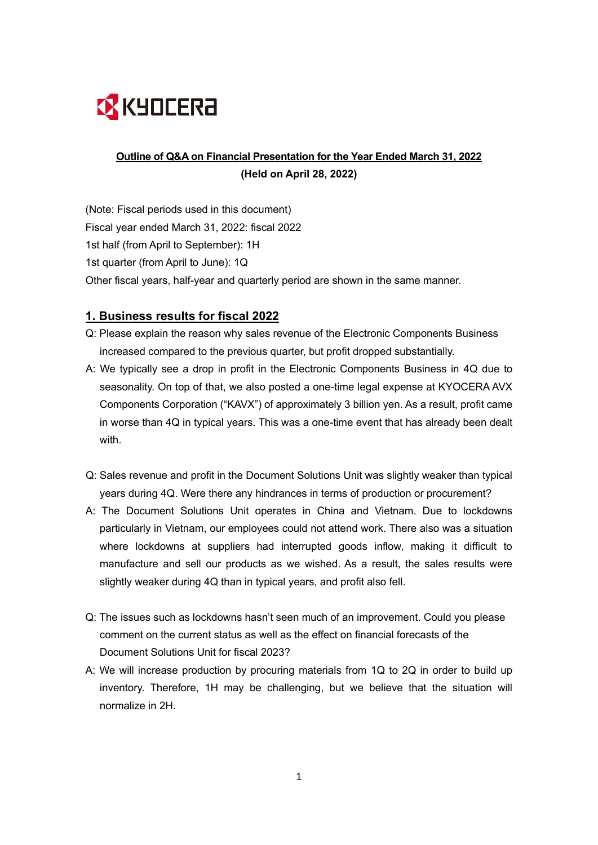

# **Outline of Q&A on Financial Presentation for the Year Ended March 31, 2022 (Held on April 28, 2022)**

(Note: Fiscal periods used in this document) Fiscal year ended March 31, 2022: fiscal 2022 1st half (from April to September): 1H 1st quarter (from April to June): 1Q Other fiscal years, half-year and quarterly period are shown in the same manner.

# **1. Business results for fiscal 2022**

- Q: Please explain the reason why sales revenue of the Electronic Components Business increased compared to the previous quarter, but profit dropped substantially.
- A: We typically see a drop in profit in the Electronic Components Business in 4Q due to seasonality. On top of that, we also posted a one-time legal expense at KYOCERA AVX Components Corporation ("KAVX") of approximately 3 billion yen. As a result, profit came in worse than 4Q in typical years. This was a one-time event that has already been dealt with.
- Q: Sales revenue and profit in the Document Solutions Unit was slightly weaker than typical years during 4Q. Were there any hindrances in terms of production or procurement?
- A: The Document Solutions Unit operates in China and Vietnam. Due to lockdowns particularly in Vietnam, our employees could not attend work. There also was a situation where lockdowns at suppliers had interrupted goods inflow, making it difficult to manufacture and sell our products as we wished. As a result, the sales results were slightly weaker during 4Q than in typical years, and profit also fell.
- Q: The issues such as lockdowns hasn't seen much of an improvement. Could you please comment on the current status as well as the effect on financial forecasts of the Document Solutions Unit for fiscal 2023?
- A: We will increase production by procuring materials from 1Q to 2Q in order to build up inventory. Therefore, 1H may be challenging, but we believe that the situation will normalize in 2H.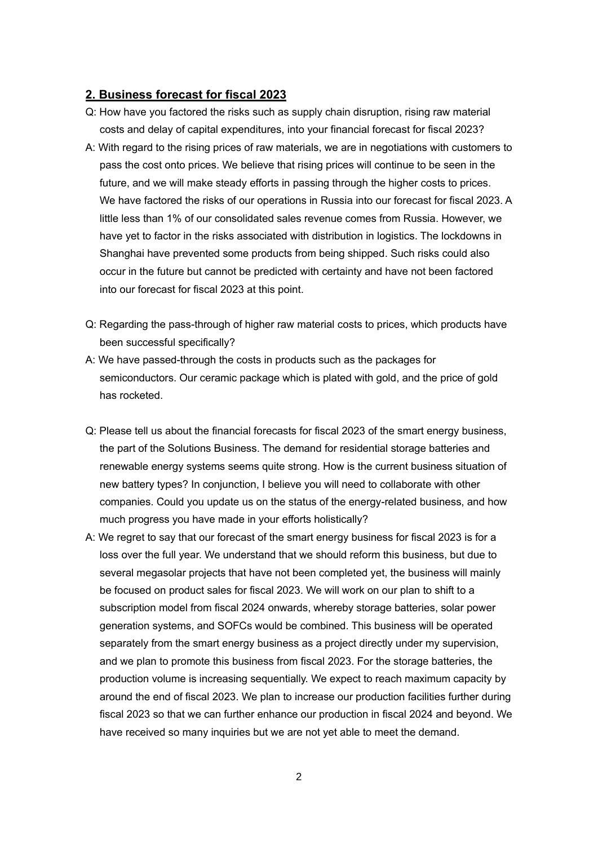#### **2. Business forecast for fiscal 2023**

- Q: How have you factored the risks such as supply chain disruption, rising raw material costs and delay of capital expenditures, into your financial forecast for fiscal 2023?
- A: With regard to the rising prices of raw materials, we are in negotiations with customers to pass the cost onto prices. We believe that rising prices will continue to be seen in the future, and we will make steady efforts in passing through the higher costs to prices. We have factored the risks of our operations in Russia into our forecast for fiscal 2023. A little less than 1% of our consolidated sales revenue comes from Russia. However, we have yet to factor in the risks associated with distribution in logistics. The lockdowns in Shanghai have prevented some products from being shipped. Such risks could also occur in the future but cannot be predicted with certainty and have not been factored into our forecast for fiscal 2023 at this point.
- Q: Regarding the pass-through of higher raw material costs to prices, which products have been successful specifically?
- A: We have passed-through the costs in products such as the packages for semiconductors. Our ceramic package which is plated with gold, and the price of gold has rocketed.
- Q: Please tell us about the financial forecasts for fiscal 2023 of the smart energy business, the part of the Solutions Business. The demand for residential storage batteries and renewable energy systems seems quite strong. How is the current business situation of new battery types? In conjunction, I believe you will need to collaborate with other companies. Could you update us on the status of the energy-related business, and how much progress you have made in your efforts holistically?
- A: We regret to say that our forecast of the smart energy business for fiscal 2023 is for a loss over the full year. We understand that we should reform this business, but due to several megasolar projects that have not been completed yet, the business will mainly be focused on product sales for fiscal 2023. We will work on our plan to shift to a subscription model from fiscal 2024 onwards, whereby storage batteries, solar power generation systems, and SOFCs would be combined. This business will be operated separately from the smart energy business as a project directly under my supervision, and we plan to promote this business from fiscal 2023. For the storage batteries, the production volume is increasing sequentially. We expect to reach maximum capacity by around the end of fiscal 2023. We plan to increase our production facilities further during fiscal 2023 so that we can further enhance our production in fiscal 2024 and beyond. We have received so many inquiries but we are not yet able to meet the demand.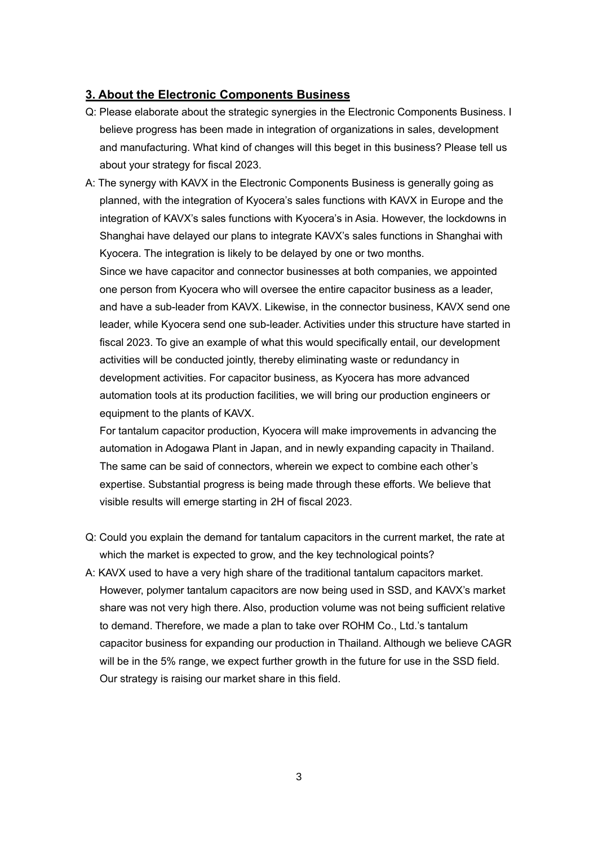## **3. About the Electronic Components Business**

- Q: Please elaborate about the strategic synergies in the Electronic Components Business. I believe progress has been made in integration of organizations in sales, development and manufacturing. What kind of changes will this beget in this business? Please tell us about your strategy for fiscal 2023.
- A: The synergy with KAVX in the Electronic Components Business is generally going as planned, with the integration of Kyocera's sales functions with KAVX in Europe and the integration of KAVX's sales functions with Kyocera's in Asia. However, the lockdowns in Shanghai have delayed our plans to integrate KAVX's sales functions in Shanghai with Kyocera. The integration is likely to be delayed by one or two months.

Since we have capacitor and connector businesses at both companies, we appointed one person from Kyocera who will oversee the entire capacitor business as a leader, and have a sub-leader from KAVX. Likewise, in the connector business, KAVX send one leader, while Kyocera send one sub-leader. Activities under this structure have started in fiscal 2023. To give an example of what this would specifically entail, our development activities will be conducted jointly, thereby eliminating waste or redundancy in development activities. For capacitor business, as Kyocera has more advanced automation tools at its production facilities, we will bring our production engineers or equipment to the plants of KAVX.

For tantalum capacitor production, Kyocera will make improvements in advancing the automation in Adogawa Plant in Japan, and in newly expanding capacity in Thailand. The same can be said of connectors, wherein we expect to combine each other's expertise. Substantial progress is being made through these efforts. We believe that visible results will emerge starting in 2H of fiscal 2023.

- Q: Could you explain the demand for tantalum capacitors in the current market, the rate at which the market is expected to grow, and the key technological points?
- A: KAVX used to have a very high share of the traditional tantalum capacitors market. However, polymer tantalum capacitors are now being used in SSD, and KAVX's market share was not very high there. Also, production volume was not being sufficient relative to demand. Therefore, we made a plan to take over ROHM Co., Ltd.'s tantalum capacitor business for expanding our production in Thailand. Although we believe CAGR will be in the 5% range, we expect further growth in the future for use in the SSD field. Our strategy is raising our market share in this field.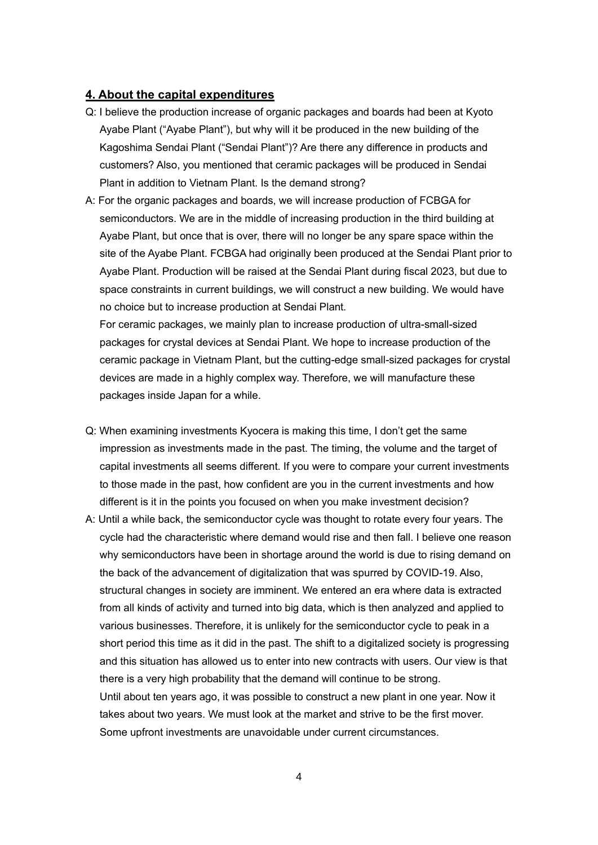### **4. About the capital expenditures**

- Q: I believe the production increase of organic packages and boards had been at Kyoto Ayabe Plant ("Ayabe Plant"), but why will it be produced in the new building of the Kagoshima Sendai Plant ("Sendai Plant")? Are there any difference in products and customers? Also, you mentioned that ceramic packages will be produced in Sendai Plant in addition to Vietnam Plant. Is the demand strong?
- A: For the organic packages and boards, we will increase production of FCBGA for semiconductors. We are in the middle of increasing production in the third building at Ayabe Plant, but once that is over, there will no longer be any spare space within the site of the Ayabe Plant. FCBGA had originally been produced at the Sendai Plant prior to Ayabe Plant. Production will be raised at the Sendai Plant during fiscal 2023, but due to space constraints in current buildings, we will construct a new building. We would have no choice but to increase production at Sendai Plant.

For ceramic packages, we mainly plan to increase production of ultra-small-sized packages for crystal devices at Sendai Plant. We hope to increase production of the ceramic package in Vietnam Plant, but the cutting-edge small-sized packages for crystal devices are made in a highly complex way. Therefore, we will manufacture these packages inside Japan for a while.

- Q: When examining investments Kyocera is making this time, I don't get the same impression as investments made in the past. The timing, the volume and the target of capital investments all seems different. If you were to compare your current investments to those made in the past, how confident are you in the current investments and how different is it in the points you focused on when you make investment decision?
- A: Until a while back, the semiconductor cycle was thought to rotate every four years. The cycle had the characteristic where demand would rise and then fall. I believe one reason why semiconductors have been in shortage around the world is due to rising demand on the back of the advancement of digitalization that was spurred by COVID-19. Also, structural changes in society are imminent. We entered an era where data is extracted from all kinds of activity and turned into big data, which is then analyzed and applied to various businesses. Therefore, it is unlikely for the semiconductor cycle to peak in a short period this time as it did in the past. The shift to a digitalized society is progressing and this situation has allowed us to enter into new contracts with users. Our view is that there is a very high probability that the demand will continue to be strong. Until about ten years ago, it was possible to construct a new plant in one year. Now it takes about two years. We must look at the market and strive to be the first mover. Some upfront investments are unavoidable under current circumstances.